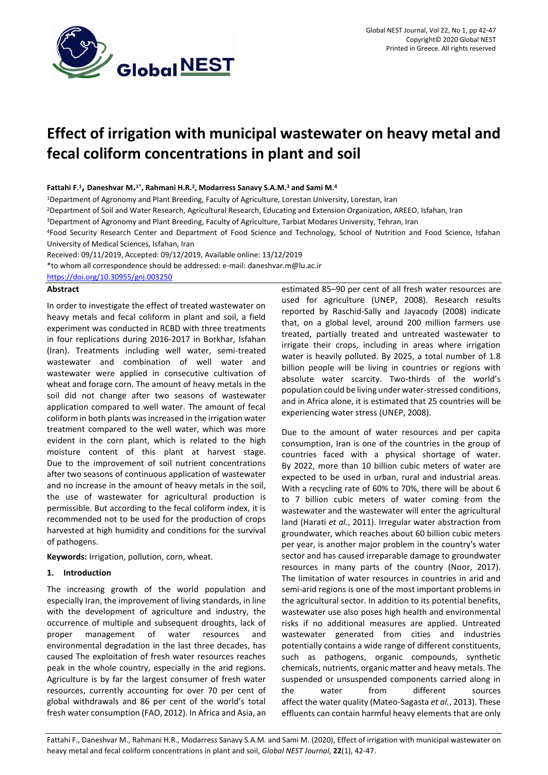

# **Effect of irrigation with municipal wastewater on heavy metal and fecal coliform concentrations in plant and soil**

## **Fattahi F.<sup>1</sup> , Daneshvar M. 1\*, Rahmani H.R.<sup>2</sup> , Modarress Sanavy S.A.M.<sup>3</sup> and Sami M.<sup>4</sup>**

<sup>1</sup>Department of Agronomy and Plant Breeding, Faculty of Agriculture, Lorestan University, Lorestan, Iran

<sup>2</sup>Department of Soil and Water Research, Agricultural Research, Educating and Extension Organization, AREEO, Isfahan, Iran

<sup>3</sup>Department of Agronomy and Plant Breeding, Faculty of Agriculture, Tarbiat Modares University, Tehran, Iran

<sup>4</sup>Food Security Research Center and Department of Food Science and Technology, School of Nutrition and Food Science, Isfahan University of Medical Sciences, Isfahan, Iran

Received: 09/11/2019, Accepted: 09/12/2019, Available online: 13/12/2019

\*to whom all correspondence should be addressed: e-mail: daneshvar.m@lu.ac.ir

<https://doi.org/10.30955/gnj.003250>

### **Abstract**

In order to investigate the effect of treated wastewater on heavy metals and fecal coliform in plant and soil, a field experiment was conducted in RCBD with three treatments in four replications during 2016-2017 in Borkhar, Isfahan (Iran). Treatments including well water, semi-treated wastewater and combination of well water and wastewater were applied in consecutive cultivation of wheat and forage corn. The amount of heavy metals in the soil did not change after two seasons of wastewater application compared to well water. The amount of fecal coliform in both plants was increased in the irrigation water treatment compared to the well water, which was more evident in the corn plant, which is related to the high moisture content of this plant at harvest stage. Due to the improvement of soil nutrient concentrations after two seasons of continuous application of wastewater and no increase in the amount of heavy metals in the soil, the use of wastewater for agricultural production is permissible. But according to the fecal coliform index, it is recommended not to be used for the production of crops harvested at high humidity and conditions for the survival of pathogens.

**Keywords:** Irrigation, pollution, corn, wheat.

## **1. Introduction**

The increasing growth of the world population and especially Iran, the improvement of living standards, in line with the development of agriculture and industry, the occurrence of multiple and subsequent droughts, lack of proper management of water resources and environmental degradation in the last three decades, has caused The exploitation of fresh water resources reaches peak in the whole country, especially in the arid regions. Agriculture is by far the largest consumer of fresh water resources, currently accounting for over 70 per cent of global withdrawals and 86 per cent of the world's total fresh water consumption (FAO, 2012). In Africa and Asia, an

estimated 85–90 per cent of all fresh water resources are used for agriculture (UNEP, 2008). Research results reported by Raschid-Sally and Jayacody (2008) indicate that, on a global level, around 200 million farmers use treated, partially treated and untreated wastewater to irrigate their crops, including in areas where irrigation water is heavily polluted. By 2025, a total number of 1.8 billion people will be living in countries or regions with absolute water scarcity. Two-thirds of the world's population could be living under water-stressed conditions, and in Africa alone, it is estimated that 25 countries will be experiencing water stress (UNEP, 2008).

Due to the amount of water resources and per capita consumption, Iran is one of the countries in the group of countries faced with a physical shortage of water. By 2022, more than 10 billion cubic meters of water are expected to be used in urban, rural and industrial areas. With a recycling rate of 60% to 70%, there will be about 6 to 7 billion cubic meters of water coming from the wastewater and the wastewater will enter the agricultural land (Harati *et al.*, 2011). Irregular water abstraction from groundwater, which reaches about 60 billion cubic meters per year, is another major problem in the country's water sector and has caused irreparable damage to groundwater resources in many parts of the country (Noor, 2017). The limitation of water resources in countries in arid and semi-arid regions is one of the most important problems in the agricultural sector. In addition to its potential benefits, wastewater use also poses high health and environmental risks if no additional measures are applied. Untreated wastewater generated from cities and industries potentially contains a wide range of different constituents, such as pathogens, organic compounds, synthetic chemicals, nutrients, organic matter and heavy metals. The suspended or unsuspended components carried along in the water from different sources affect the water quality (Mateo-Sagasta *et al.*, 2013). These effluents can contain harmful heavy elements that are only

Fattahi F., Daneshvar M., Rahmani H.R., Modarress Sanavy S.A.M. and Sami M. (2020), Effect of irrigation with municipal wastewater on heavy metal and fecal coliform concentrations in plant and soil, *Global NEST Journal*, **22**(1), 42-47.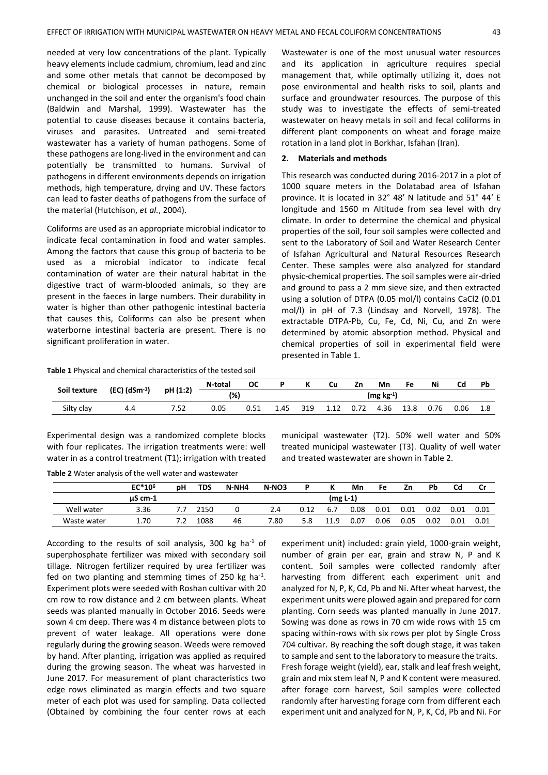needed at very low concentrations of the plant. Typically heavy elements include cadmium, chromium, lead and zinc and some other metals that cannot be decomposed by chemical or biological processes in nature, remain unchanged in the soil and enter the organism's food chain (Baldwin and Marshal, 1999). Wastewater has the potential to cause diseases because it contains bacteria, viruses and parasites. Untreated and semi-treated wastewater has a variety of human pathogens. Some of these pathogens are long-lived in the environment and can potentially be transmitted to humans. Survival of pathogens in different environments depends on irrigation methods, high temperature, drying and UV. These factors can lead to faster deaths of pathogens from the surface of the material (Hutchison, *et al.*, 2004).

Coliforms are used as an appropriate microbial indicator to indicate fecal contamination in food and water samples. Among the factors that cause this group of bacteria to be used as a microbial indicator to indicate fecal contamination of water are their natural habitat in the digestive tract of warm-blooded animals, so they are present in the faeces in large numbers. Their durability in water is higher than other pathogenic intestinal bacteria that causes this, Coliforms can also be present when waterborne intestinal bacteria are present. There is no significant proliferation in water.

Wastewater is one of the most unusual water resources and its application in agriculture requires special management that, while optimally utilizing it, does not pose environmental and health risks to soil, plants and surface and groundwater resources. The purpose of this study was to investigate the effects of semi-treated wastewater on heavy metals in soil and fecal coliforms in different plant components on wheat and forage maize rotation in a land plot in Borkhar, Isfahan (Iran).

#### **2. Materials and methods**

This research was conducted during 2016-2017 in a plot of 1000 square meters in the Dolatabad area of Isfahan province. It is located in 32° 48' N latitude and 51° 44′ E longitude and 1560 m Altitude from sea level with dry climate. In order to determine the chemical and physical properties of the soil, four soil samples were collected and sent to the Laboratory of Soil and Water Research Center of Isfahan Agricultural and Natural Resources Research Center. These samples were also analyzed for standard physic-chemical properties. The soil samples were air-dried and ground to pass a 2 mm sieve size, and then extracted using a solution of DTPA (0.05 mol/l) contains CaCl2 (0.01 mol/l) in pH of 7.3 (Lindsay and Norvell, 1978). The extractable DTPA-Pb, Cu, Fe, Cd, Ni, Cu, and Zn were determined by atomic absorption method. Physical and chemical properties of soil in experimental field were presented in Table 1.

**Table 1** Physical and chemical characteristics of the tested soil

| Soil texture | $(EC)$ (dSm <sup>-1</sup> ) | pH (1:2) | N-total | ОС   |             |     | Cu   | Zn   | Mn   | Fe   | Ni   | Cd   | Ph |
|--------------|-----------------------------|----------|---------|------|-------------|-----|------|------|------|------|------|------|----|
|              |                             |          | (%)     |      | $(mg kg-1)$ |     |      |      |      |      |      |      |    |
| Silty clay   | 4.4                         | 7.52     | 0.05    | 0.51 | 4.45        | 319 | 1.12 | 0.72 | 4.36 | 13.8 | 0.76 | 0.06 |    |

Experimental design was a randomized complete blocks with four replicates. The irrigation treatments were: well water in as a control treatment (T1); irrigation with treated

municipal wastewater (T2). 50% well water and 50% treated municipal wastewater (T3). Quality of well water and treated wastewater are shown in Table 2.

**Table 2** Water analysis of the well water and wastewater **EC\*10<sup>6</sup> pH TDS N-NH4 N-NO3 P K Mn Fe Zn Pb Cd Cr µS cm-1 (mg L-1)** Well water 3.36 7.7 2150 0 2.4 0.12 6.7 0.08 0.01 0.01 0.02 0.01 0.01 Waste water 1.70 7.2 1088 46 7.80 5.8 11.9 0.07 0.06 0.05 0.02 0.01 0.01

According to the results of soil analysis, 300 kg ha<sup>-1</sup> of superphosphate fertilizer was mixed with secondary soil tillage. Nitrogen fertilizer required by urea fertilizer was fed on two planting and stemming times of 250 kg ha<sup>-1</sup>. Experiment plots were seeded with Roshan cultivar with 20 cm row to row distance and 2 cm between plants. Wheat seeds was planted manually in October 2016. Seeds were sown 4 cm deep. There was 4 m distance between plots to prevent of water leakage. All operations were done regularly during the growing season. Weeds were removed by hand. After planting, irrigation was applied as required during the growing season. The wheat was harvested in June 2017. For measurement of plant characteristics two edge rows eliminated as margin effects and two square meter of each plot was used for sampling. Data collected (Obtained by combining the four center rows at each

experiment unit) included: grain yield, 1000-grain weight, number of grain per ear, grain and straw N, P and K content. Soil samples were collected randomly after harvesting from different each experiment unit and analyzed for N, P, K, Cd, Pb and Ni. After wheat harvest, the experiment units were plowed again and prepared for corn planting. Corn seeds was planted manually in June 2017. Sowing was done as rows in 70 cm wide rows with 15 cm spacing within-rows with six rows per plot by Single Cross 704 cultivar. By reaching the soft dough stage, it was taken to sample and sent to the laboratory to measure the traits. Fresh forage weight (yield), ear, stalk and leaf fresh weight, grain and mix stem leaf N, P and K content were measured. after forage corn harvest, Soil samples were collected randomly after harvesting forage corn from different each experiment unit and analyzed for N, P, K, Cd, Pb and Ni. For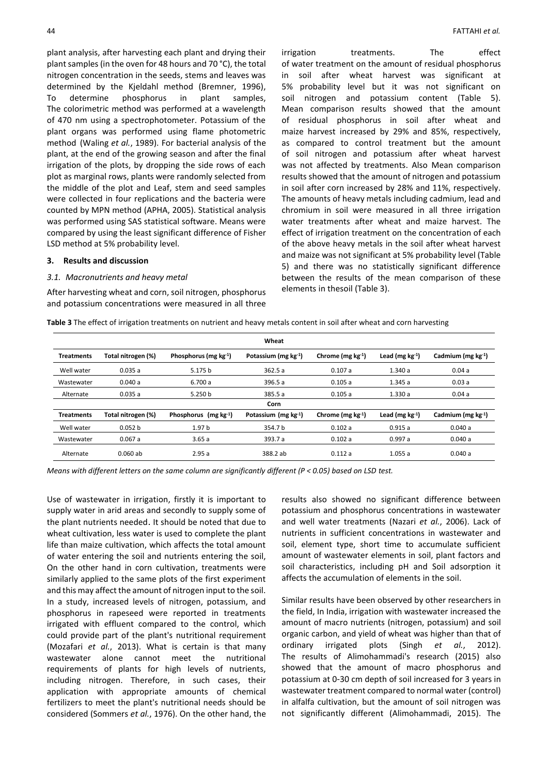plant analysis, after harvesting each plant and drying their plant samples (in the oven for 48 hours and 70 °C), the total nitrogen concentration in the seeds, stems and leaves was determined by the Kjeldahl method (Bremner, 1996), To determine phosphorus in plant samples, The colorimetric method was performed at a wavelength of 470 nm using a spectrophotometer. Potassium of the plant organs was performed using flame photometric method (Waling *et al.*, 1989). For bacterial analysis of the plant, at the end of the growing season and after the final irrigation of the plots, by dropping the side rows of each plot as marginal rows, plants were randomly selected from the middle of the plot and Leaf, stem and seed samples were collected in four replications and the bacteria were counted by MPN method (APHA, 2005). Statistical analysis was performed using SAS statistical software. Means were compared by using the least significant difference of Fisher LSD method at 5% probability level.

# **3. Results and discussion**

# *3.1. Macronutrients and heavy metal*

After harvesting wheat and corn, soil nitrogen, phosphorus and potassium concentrations were measured in all three irrigation treatments. The effect of water treatment on the amount of residual phosphorus in soil after wheat harvest was significant at 5% probability level but it was not significant on soil nitrogen and potassium content (Table 5). Mean comparison results showed that the amount of residual phosphorus in soil after wheat and maize harvest increased by 29% and 85%, respectively, as compared to control treatment but the amount of soil nitrogen and potassium after wheat harvest was not affected by treatments. Also Mean comparison results showed that the amount of nitrogen and potassium in soil after corn increased by 28% and 11%, respectively. The amounts of heavy metals including cadmium, lead and chromium in soil were measured in all three irrigation water treatments after wheat and maize harvest. The effect of irrigation treatment on the concentration of each of the above heavy metals in the soil after wheat harvest and maize was not significant at 5% probability level (Table 5) and there was no statistically significant difference between the results of the mean comparison of these elements in thesoil (Table 3).

**Table 3** The effect of irrigation treatments on nutrient and heavy metals content in soil after wheat and corn harvesting

|                   |                    |                                | Wheat                     |                        |                      |                             |  |
|-------------------|--------------------|--------------------------------|---------------------------|------------------------|----------------------|-----------------------------|--|
| <b>Treatments</b> | Total nitrogen (%) | Phosphorus ( $mg \, kg^{-1}$ ) | Potassium (mg $kg^{-1}$ ) | Chrome (mg $kg^{-1}$ ) | Lead (mg $kg^{-1}$ ) | Cadmium ( $mg \, kg^{-1}$ ) |  |
| Well water        | 0.035a             | 5.175 b                        | 362.5a                    | 0.107a                 | 1.340a               | 0.04a                       |  |
| Wastewater        | 0.040a             | 6.700 a                        | 396.5 a                   | 0.105a                 | 1.345a               | 0.03a                       |  |
| Alternate         | 0.035a             | 5.250 b                        | 385.5 a                   | 0.105a                 | 1.330a               | 0.04a                       |  |
| Corn              |                    |                                |                           |                        |                      |                             |  |
| <b>Treatments</b> | Total nitrogen (%) | Phosphorus $(mg kg-1)$         | Potassium (mg $kg^{-1}$ ) | Chrome (mg $kg^{-1}$ ) | Lead (mg $kg^{-1}$ ) | Cadmium (mg $kg^{-1}$ )     |  |
| Well water        | 0.052 b            | 1.97 <sub>b</sub>              | 354.7 b                   | 0.102a                 | 0.915a               | 0.040a                      |  |
| Wastewater        | 0.067a             | 3.65a                          | 393.7 a                   | 0.102a                 | 0.997a               | 0.040a                      |  |
| Alternate         | $0.060$ ab         | 2.95a                          | 388.2 ab                  | 0.112a                 | 1.055a               | 0.040a                      |  |

*Means with different letters on the same column are significantly different (P < 0.05) based on LSD test.*

Use of wastewater in irrigation, firstly it is important to supply water in arid areas and secondly to supply some of the plant nutrients needed. It should be noted that due to wheat cultivation, less water is used to complete the plant life than maize cultivation, which affects the total amount of water entering the soil and nutrients entering the soil, On the other hand in corn cultivation, treatments were similarly applied to the same plots of the first experiment and this may affect the amount of nitrogen input to the soil. In a study, increased levels of nitrogen, potassium, and phosphorus in rapeseed were reported in treatments irrigated with effluent compared to the control, which could provide part of the plant's nutritional requirement (Mozafari *et al.*, 2013). What is certain is that many wastewater alone cannot meet the nutritional requirements of plants for high levels of nutrients, including nitrogen. Therefore, in such cases, their application with appropriate amounts of chemical fertilizers to meet the plant's nutritional needs should be considered (Sommers *et al.*, 1976). On the other hand, the

results also showed no significant difference between potassium and phosphorus concentrations in wastewater and well water treatments (Nazari *et al.*, 2006). Lack of nutrients in sufficient concentrations in wastewater and soil, element type, short time to accumulate sufficient amount of wastewater elements in soil, plant factors and soil characteristics, including pH and Soil adsorption it affects the accumulation of elements in the soil.

Similar results have been observed by other researchers in the field, In India, irrigation with wastewater increased the amount of macro nutrients (nitrogen, potassium) and soil organic carbon, and yield of wheat was higher than that of ordinary irrigated plots (Singh *et al.*, 2012). The results of Alimohammadi's research (2015) also showed that the amount of macro phosphorus and potassium at 0-30 cm depth of soil increased for 3 years in wastewater treatment compared to normal water (control) in alfalfa cultivation, but the amount of soil nitrogen was not significantly different (Alimohammadi, 2015). The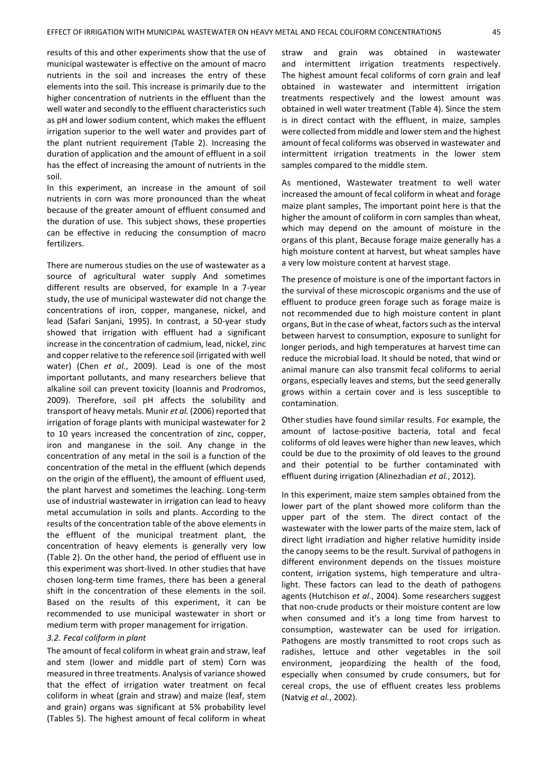results of this and other experiments show that the use of municipal wastewater is effective on the amount of macro nutrients in the soil and increases the entry of these elements into the soil. This increase is primarily due to the higher concentration of nutrients in the effluent than the well water and secondly to the effluent characteristics such as pH and lower sodium content, which makes the effluent irrigation superior to the well water and provides part of the plant nutrient requirement (Table 2). Increasing the duration of application and the amount of effluent in a soil has the effect of increasing the amount of nutrients in the soil.

In this experiment, an increase in the amount of soil nutrients in corn was more pronounced than the wheat because of the greater amount of effluent consumed and the duration of use. This subject shows, these properties can be effective in reducing the consumption of macro fertilizers.

There are numerous studies on the use of wastewater as a source of agricultural water supply And sometimes different results are observed, for example In a 7-year study, the use of municipal wastewater did not change the concentrations of iron, copper, manganese, nickel, and lead (Safari Sanjani, 1995). In contrast, a 50-year study showed that irrigation with effluent had a significant increase in the concentration of cadmium, lead, nickel, zinc and copper relative to the reference soil (irrigated with well water) (Chen *et al.*, 2009). Lead is one of the most important pollutants, and many researchers believe that alkaline soil can prevent toxicity (Ioannis and Prodromos, 2009). Therefore, soil pH affects the solubility and transport of heavy metals. Munir *et al.* (2006) reported that irrigation of forage plants with municipal wastewater for 2 to 10 years increased the concentration of zinc, copper, iron and manganese in the soil. Any change in the concentration of any metal in the soil is a function of the concentration of the metal in the effluent (which depends on the origin of the effluent), the amount of effluent used, the plant harvest and sometimes the leaching. Long-term use of industrial wastewater in irrigation can lead to heavy metal accumulation in soils and plants. According to the results of the concentration table of the above elements in the effluent of the municipal treatment plant, the concentration of heavy elements is generally very low (Table 2). On the other hand, the period of effluent use in this experiment was short-lived. In other studies that have chosen long-term time frames, there has been a general shift in the concentration of these elements in the soil. Based on the results of this experiment, it can be recommended to use municipal wastewater in short or medium term with proper management for irrigation.

#### *3.2. Fecal coliform in plant*

The amount of fecal coliform in wheat grain and straw, leaf and stem (lower and middle part of stem) Corn was measured in three treatments. Analysis of variance showed that the effect of irrigation water treatment on fecal coliform in wheat (grain and straw) and maize (leaf, stem and grain) organs was significant at 5% probability level (Tables 5). The highest amount of fecal coliform in wheat

straw and grain was obtained in wastewater and intermittent irrigation treatments respectively. The highest amount fecal coliforms of corn grain and leaf obtained in wastewater and intermittent irrigation treatments respectively and the lowest amount was obtained in well water treatment (Table 4). Since the stem is in direct contact with the effluent, in maize, samples were collected from middle and lower stem and the highest amount of fecal coliforms was observed in wastewater and intermittent irrigation treatments in the lower stem samples compared to the middle stem.

As mentioned, Wastewater treatment to well water increased the amount of fecal coliform in wheat and forage maize plant samples, The important point here is that the higher the amount of coliform in corn samples than wheat, which may depend on the amount of moisture in the organs of this plant, Because forage maize generally has a high moisture content at harvest, but wheat samples have a very low moisture content at harvest stage.

The presence of moisture is one of the important factors in the survival of these microscopic organisms and the use of effluent to produce green forage such as forage maize is not recommended due to high moisture content in plant organs, But in the case of wheat, factors such as the interval between harvest to consumption, exposure to sunlight for longer periods, and high temperatures at harvest time can reduce the microbial load. It should be noted, that wind or animal manure can also transmit fecal coliforms to aerial organs, especially leaves and stems, but the seed generally grows within a certain cover and is less susceptible to contamination.

Other studies have found similar results. For example, the amount of lactose-positive bacteria, total and fecal coliforms of old leaves were higher than new leaves, which could be due to the proximity of old leaves to the ground and their potential to be further contaminated with effluent during irrigation (Alinezhadian *et al.*, 2012).

In this experiment, maize stem samples obtained from the lower part of the plant showed more coliform than the upper part of the stem. The direct contact of the wastewater with the lower parts of the maize stem, lack of direct light irradiation and higher relative humidity inside the canopy seems to be the result. Survival of pathogens in different environment depends on the tissues moisture content, irrigation systems, high temperature and ultralight. These factors can lead to the death of pathogens agents (Hutchison *et al.*, 2004). Some researchers suggest that non-crude products or their moisture content are low when consumed and it's a long time from harvest to consumption, wastewater can be used for irrigation. Pathogens are mostly transmitted to root crops such as radishes, lettuce and other vegetables in the soil environment, jeopardizing the health of the food, especially when consumed by crude consumers, but for cereal crops, the use of effluent creates less problems (Natvig *et al.*, 2002).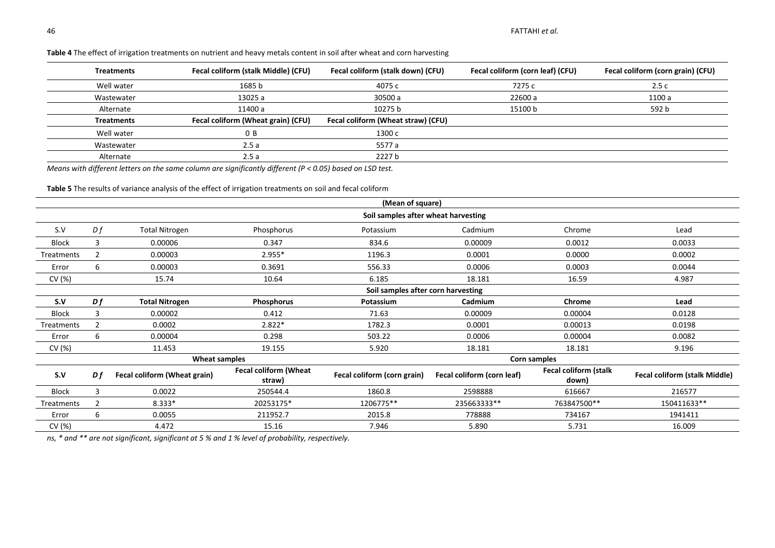| <b>Treatments</b> | Fecal coliform (stalk Middle) (CFU) | Fecal coliform (stalk down) (CFU)  | Fecal coliform (corn leaf) (CFU) | Fecal coliform (corn grain) (CFU) |
|-------------------|-------------------------------------|------------------------------------|----------------------------------|-----------------------------------|
| Well water        | 1685 b                              | 4075 с                             | 7275 c                           | 2.5c                              |
| Wastewater        | 13025 a                             | 30500 a                            | 22600 a                          | 1100 a                            |
| Alternate         | 11400 a                             | 10275 b                            | 15100 b                          | 592 b                             |
| <b>Treatments</b> | Fecal coliform (Wheat grain) (CFU)  | Fecal coliform (Wheat straw) (CFU) |                                  |                                   |
| Well water        | 0B                                  | 1300 c                             |                                  |                                   |
| Wastewater        | 2.5a                                | 5577 a                             |                                  |                                   |
| Alternate         | 2.5a                                | 2227 b                             |                                  |                                   |

## **Table 4** The effect of irrigation treatments on nutrient and heavy metals content in soil after wheat and corn harvesting

*Means with different letters on the same column are significantly different (P < 0.05) based on LSD test.*

**Table 5** The results of variance analysis of the effect of irrigation treatments on soil and fecal coliform

|               |                                    |                                     |                                        | (Mean of square)            |                            |                                       |                                      |  |  |
|---------------|------------------------------------|-------------------------------------|----------------------------------------|-----------------------------|----------------------------|---------------------------------------|--------------------------------------|--|--|
|               |                                    | Soil samples after wheat harvesting |                                        |                             |                            |                                       |                                      |  |  |
| S.V           | Df                                 | <b>Total Nitrogen</b>               | Phosphorus                             | Potassium                   | Cadmium                    | Chrome                                | Lead                                 |  |  |
| Block         | 3                                  | 0.00006                             | 0.347                                  | 834.6                       | 0.00009                    | 0.0012                                | 0.0033                               |  |  |
| Treatments    | 2                                  | 0.00003                             | 2.955*                                 | 1196.3                      | 0.0001                     | 0.0000                                | 0.0002                               |  |  |
| Error         | 6                                  | 0.00003                             | 0.3691                                 | 556.33                      | 0.0006                     | 0.0003                                | 0.0044                               |  |  |
| CV (%)        |                                    | 15.74                               | 10.64                                  | 6.185                       | 18.181                     | 16.59                                 | 4.987                                |  |  |
|               | Soil samples after corn harvesting |                                     |                                        |                             |                            |                                       |                                      |  |  |
| S.V           | Df                                 | <b>Total Nitrogen</b>               | Phosphorus                             | Potassium                   | Cadmium                    | Chrome                                | Lead                                 |  |  |
| <b>Block</b>  | 3                                  | 0.00002                             | 0.412                                  | 71.63                       | 0.00009                    | 0.00004                               | 0.0128                               |  |  |
| Treatments    | $\overline{2}$                     | 0.0002                              | 2.822*                                 | 1782.3                      | 0.0001                     | 0.00013                               | 0.0198                               |  |  |
| Error         | 6                                  | 0.00004                             | 0.298                                  | 503.22                      | 0.0006                     | 0.00004                               | 0.0082                               |  |  |
| CV $(%)$      |                                    | 11.453                              | 19.155                                 | 5.920                       | 18.181                     | 18.181                                | 9.196                                |  |  |
| Wheat samples |                                    |                                     |                                        | Corn samples                |                            |                                       |                                      |  |  |
| S.V           | D f                                | Fecal coliform (Wheat grain)        | <b>Fecal coliform (Wheat</b><br>straw) | Fecal coliform (corn grain) | Fecal coliform (corn leaf) | <b>Fecal coliform (stalk</b><br>down) | <b>Fecal coliform (stalk Middle)</b> |  |  |
| Block         | 3                                  | 0.0022                              | 250544.4                               | 1860.8                      | 2598888                    | 616667                                | 216577                               |  |  |
| Treatments    | 2                                  | 8.333*                              | 20253175*                              | 1206775**                   | 235663333**                | 763847500**                           | 150411633**                          |  |  |
| Error         | 6                                  | 0.0055                              | 211952.7                               | 2015.8                      | 778888                     | 734167                                | 1941411                              |  |  |
| CV (%)        |                                    | 4.472                               | 15.16                                  | 7.946                       | 5.890                      | 5.731                                 | 16.009                               |  |  |

*ns, \* and \*\* are not significant, significant at 5 % and 1 % level of probability, respectively.*